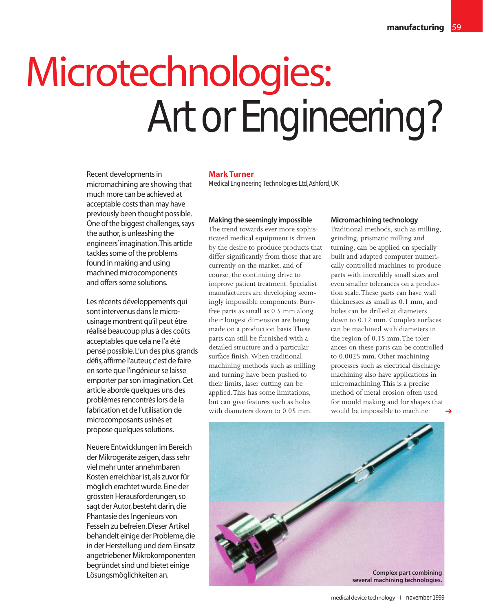# Microtechnologies: Art or Engineering?

Recent developments in micromachining are showing that much more can be achieved at acceptable costs than may have previously been thought possible. One of the biggest challenges, says the author, is unleashing the engineers'imagination.This article tackles some of the problems found in making and using machined microcomponents and offers some solutions.

Les récents développements qui sont intervenus dans le microusinage montrent qu'il peut être réalisé beaucoup plus à des coûts acceptables que cela ne l'a été pensé possible.L'un des plus grands défis, affirme l'auteur, c'est de faire en sorte que l'ingénieur se laisse emporter par son imagination.Cet article aborde quelques uns des problèmes rencontrés lors de la fabrication et de l'utilisation de microcomposants usinés et propose quelques solutions.

Neuere Entwicklungen im Bereich der Mikrogeräte zeigen,dass sehr viel mehr unter annehmbaren Kosten erreichbar ist,als zuvor für möglich erachtet wurde.Eine der grössten Herausforderungen,so sagt der Autor, besteht darin, die Phantasie des Ingenieurs von Fesseln zu befreien.Dieser Artikel behandelt einige der Probleme,die in der Herstellung und dem Einsatz angetriebener Mikrokomponenten begründet sind und bietet einige Lösungsmöglichkeiten an.

## **Mark Turner**

Medical Engineering Technologies Ltd, Ashford, UK

# **Making the seemingly impossible**

The trend towards ever more sophisticated medical equipment is driven by the desire to produce products that differ significantly from those that are currently on the market, and of course, the continuing drive to improve patient treatment. Specialist manufacturers are developing seemingly impossible components. Burrfree parts as small as 0.5 mm along their longest dimension are being made on a production basis.These parts can still be furnished with a detailed structure and a particular surface finish.When traditional machining methods such as milling and turning have been pushed to their limits, laser cutting can be applied.This has some limitations, but can give features such as holes with diameters down to 0.05 mm.

## **Micromachining technology**

Traditional methods, such as milling, grinding, prismatic milling and turning, can be applied on specially built and adapted computer numerically controlled machines to produce parts with incredibly small sizes and even smaller tolerances on a production scale.These parts can have wall thicknesses as small as 0.1 mm, and holes can be drilled at diameters down to 0.12 mm. Complex surfaces can be machined with diameters in the region of 0.15 mm.The tolerances on these parts can be controlled to 0.0025 mm. Other machining processes such as electrical discharge machining also have applications in micromachining.This is a precise method of metal erosion often used for mould making and for shapes that would be impossible to machine. ➔

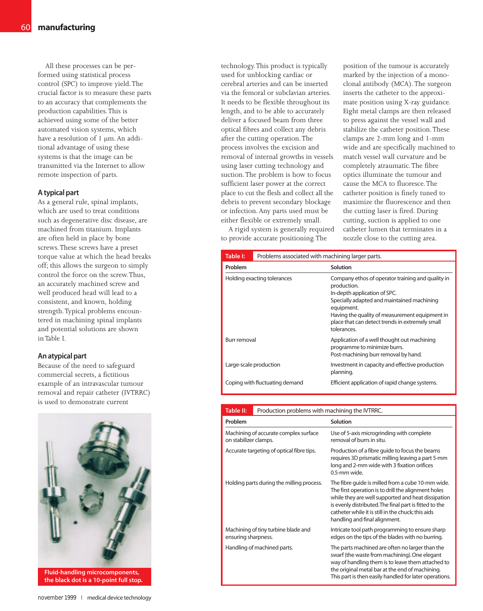All these processes can be performed using statistical process control (SPC) to improve yield.The crucial factor is to measure these parts to an accuracy that complements the production capabilities.This is achieved using some of the better automated vision systems, which have a resolution of 1 µm. An additional advantage of using these systems is that the image can be transmitted via the Internet to allow remote inspection of parts.

## **A typical part**

As a general rule, spinal implants, which are used to treat conditions such as degenerative disc disease, are machined from titanium. Implants are often held in place by bone screws.These screws have a preset torque value at which the head breaks off; this allows the surgeon to simply control the force on the screw.Thus, an accurately machined screw and well produced head will lead to a consistent, and known, holding strength.Typical problems encountered in machining spinal implants and potential solutions are shown in Table I.

## **An atypical part**

Because of the need to safeguard commercial secrets, a fictitious example of an intravascular tumour removal and repair catheter (IVTRRC) is used to demonstrate current



**Fluid-handling microcomponents, the black dot is a 10-point full stop.**

technology.This product is typically used for unblocking cardiac or cerebral arteries and can be inserted via the femoral or subclavian arteries. It needs to be flexible throughout its length, and to be able to accurately deliver a focused beam from three optical fibres and collect any debris after the cutting operation.The process involves the excision and removal of internal growths in vessels using laser cutting technology and suction.The problem is how to focus sufficient laser power at the correct place to cut the flesh and collect all the debris to prevent secondary blockage or infection. Any parts used must be either flexible or extremely small.

A rigid system is generally required to provide accurate positioning.The

position of the tumour is accurately marked by the injection of a monoclonal antibody (MCA).The surgeon inserts the catheter to the approximate position using X-ray guidance. Eight metal clamps are then released to press against the vessel wall and stabilize the catheter position.These clamps are 2-mm long and 1-mm wide and are specifically machined to match vessel wall curvature and be completely atraumatic.The fibre optics illuminate the tumour and cause the MCA to fluoresce.The catheter position is finely tuned to maximize the fluorescence and then the cutting laser is fired. During cutting, suction is applied to one catheter lumen that terminates in a nozzle close to the cutting area.

| Table I:                       | Problems associated with machining larger parts. |                                                                                                                                                                                                                                                                                  |
|--------------------------------|--------------------------------------------------|----------------------------------------------------------------------------------------------------------------------------------------------------------------------------------------------------------------------------------------------------------------------------------|
| Problem                        |                                                  | Solution                                                                                                                                                                                                                                                                         |
| Holding exacting tolerances    |                                                  | Company ethos of operator training and quality in<br>production.<br>In-depth application of SPC.<br>Specially adapted and maintained machining<br>equipment.<br>Having the quality of measurement equipment in<br>place that can detect trends in extremely small<br>tolerances. |
| Burr removal                   |                                                  | Application of a well thought out machining<br>programme to minimize burrs.<br>Post-machining burr removal by hand.                                                                                                                                                              |
|                                | Large-scale production                           | Investment in capacity and effective production<br>planning.                                                                                                                                                                                                                     |
| Coping with fluctuating demand |                                                  | Efficient application of rapid change systems.                                                                                                                                                                                                                                   |

| <b>Table II:</b>                                               | Production problems with machining the IVTRRC. |                                                                                                                                                                                                                                                                                                                 |
|----------------------------------------------------------------|------------------------------------------------|-----------------------------------------------------------------------------------------------------------------------------------------------------------------------------------------------------------------------------------------------------------------------------------------------------------------|
| Problem                                                        |                                                | Solution                                                                                                                                                                                                                                                                                                        |
| Machining of accurate complex surface<br>on stabilizer clamps. |                                                | Use of 5-axis microgrinding with complete<br>removal of burrs in situ.                                                                                                                                                                                                                                          |
| Accurate targeting of optical fibre tips.                      |                                                | Production of a fibre guide to focus the beams<br>requires 3D prismatic milling leaving a part 5-mm<br>long and 2-mm wide with 3 fixation orifices<br>0.5-mm wide.                                                                                                                                              |
| Holding parts during the milling process.                      |                                                | The fibre guide is milled from a cube 10-mm wide.<br>The first operation is to drill the alignment holes<br>while they are well supported and heat dissipation<br>is evenly distributed. The final part is fitted to the<br>catheter while it is still in the chuck; this aids<br>handling and final alignment. |
| Machining of tiny turbine blade and<br>ensuring sharpness.     |                                                | Intricate tool path programming to ensure sharp<br>edges on the tips of the blades with no burring.                                                                                                                                                                                                             |
| Handling of machined parts.                                    |                                                | The parts machined are often no larger than the<br>swarf (the waste from machining). One elegant<br>way of handling them is to leave them attached to<br>the original metal bar at the end of machining.<br>This part is then easily handled for later operations.                                              |